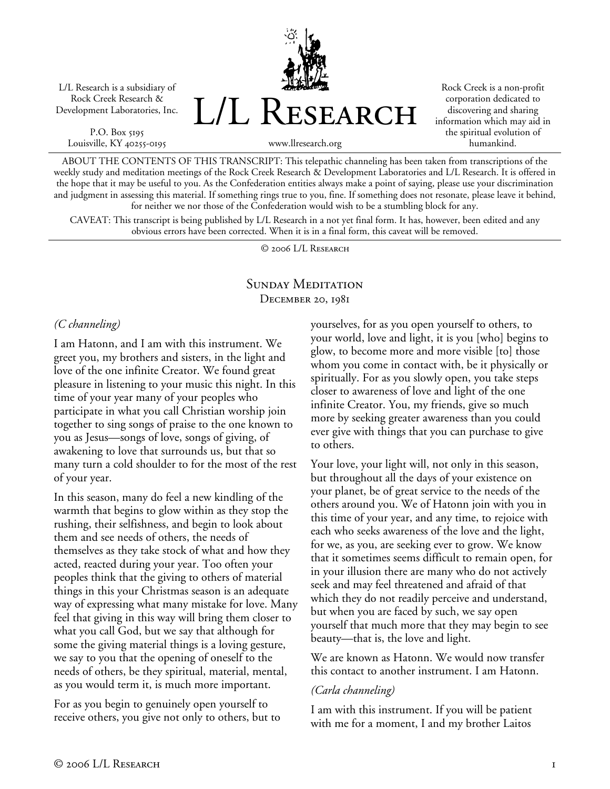L/L Research is a subsidiary of Rock Creek Research & Development Laboratories, Inc.

P.O. Box 5195 Louisville, KY 40255-0195 L/L Research

Rock Creek is a non-profit corporation dedicated to discovering and sharing information which may aid in the spiritual evolution of humankind.

www.llresearch.org

ABOUT THE CONTENTS OF THIS TRANSCRIPT: This telepathic channeling has been taken from transcriptions of the weekly study and meditation meetings of the Rock Creek Research & Development Laboratories and L/L Research. It is offered in the hope that it may be useful to you. As the Confederation entities always make a point of saying, please use your discrimination and judgment in assessing this material. If something rings true to you, fine. If something does not resonate, please leave it behind, for neither we nor those of the Confederation would wish to be a stumbling block for any.

CAVEAT: This transcript is being published by L/L Research in a not yet final form. It has, however, been edited and any obvious errors have been corrected. When it is in a final form, this caveat will be removed.

© 2006 L/L Research

### SUNDAY MEDITATION DECEMBER 20, 1981

# *(C channeling)*

I am Hatonn, and I am with this instrument. We greet you, my brothers and sisters, in the light and love of the one infinite Creator. We found great pleasure in listening to your music this night. In this time of your year many of your peoples who participate in what you call Christian worship join together to sing songs of praise to the one known to you as Jesus—songs of love, songs of giving, of awakening to love that surrounds us, but that so many turn a cold shoulder to for the most of the rest of your year.

In this season, many do feel a new kindling of the warmth that begins to glow within as they stop the rushing, their selfishness, and begin to look about them and see needs of others, the needs of themselves as they take stock of what and how they acted, reacted during your year. Too often your peoples think that the giving to others of material things in this your Christmas season is an adequate way of expressing what many mistake for love. Many feel that giving in this way will bring them closer to what you call God, but we say that although for some the giving material things is a loving gesture, we say to you that the opening of oneself to the needs of others, be they spiritual, material, mental, as you would term it, is much more important.

For as you begin to genuinely open yourself to receive others, you give not only to others, but to yourselves, for as you open yourself to others, to your world, love and light, it is you [who] begins to glow, to become more and more visible [to] those whom you come in contact with, be it physically or spiritually. For as you slowly open, you take steps closer to awareness of love and light of the one infinite Creator. You, my friends, give so much more by seeking greater awareness than you could ever give with things that you can purchase to give to others.

Your love, your light will, not only in this season, but throughout all the days of your existence on your planet, be of great service to the needs of the others around you. We of Hatonn join with you in this time of your year, and any time, to rejoice with each who seeks awareness of the love and the light, for we, as you, are seeking ever to grow. We know that it sometimes seems difficult to remain open, for in your illusion there are many who do not actively seek and may feel threatened and afraid of that which they do not readily perceive and understand, but when you are faced by such, we say open yourself that much more that they may begin to see beauty—that is, the love and light.

We are known as Hatonn. We would now transfer this contact to another instrument. I am Hatonn.

# *(Carla channeling)*

I am with this instrument. If you will be patient with me for a moment, I and my brother Laitos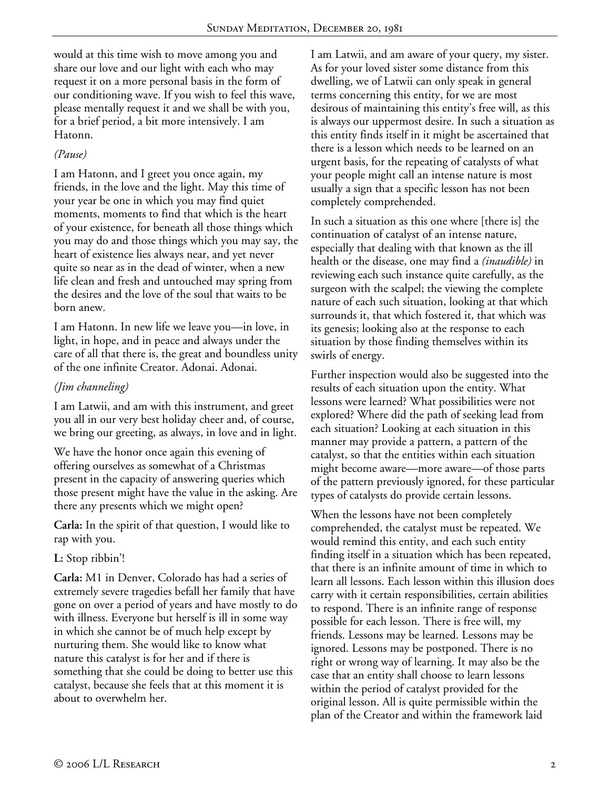would at this time wish to move among you and share our love and our light with each who may request it on a more personal basis in the form of our conditioning wave. If you wish to feel this wave, please mentally request it and we shall be with you, for a brief period, a bit more intensively. I am Hatonn.

### *(Pause)*

I am Hatonn, and I greet you once again, my friends, in the love and the light. May this time of your year be one in which you may find quiet moments, moments to find that which is the heart of your existence, for beneath all those things which you may do and those things which you may say, the heart of existence lies always near, and yet never quite so near as in the dead of winter, when a new life clean and fresh and untouched may spring from the desires and the love of the soul that waits to be born anew.

I am Hatonn. In new life we leave you—in love, in light, in hope, and in peace and always under the care of all that there is, the great and boundless unity of the one infinite Creator. Adonai. Adonai.

# *(Jim channeling)*

I am Latwii, and am with this instrument, and greet you all in our very best holiday cheer and, of course, we bring our greeting, as always, in love and in light.

We have the honor once again this evening of offering ourselves as somewhat of a Christmas present in the capacity of answering queries which those present might have the value in the asking. Are there any presents which we might open?

**Carla:** In the spirit of that question, I would like to rap with you.

# **L:** Stop ribbin'!

**Carla:** M1 in Denver, Colorado has had a series of extremely severe tragedies befall her family that have gone on over a period of years and have mostly to do with illness. Everyone but herself is ill in some way in which she cannot be of much help except by nurturing them. She would like to know what nature this catalyst is for her and if there is something that she could be doing to better use this catalyst, because she feels that at this moment it is about to overwhelm her.

I am Latwii, and am aware of your query, my sister. As for your loved sister some distance from this dwelling, we of Latwii can only speak in general terms concerning this entity, for we are most desirous of maintaining this entity's free will, as this is always our uppermost desire. In such a situation as this entity finds itself in it might be ascertained that there is a lesson which needs to be learned on an urgent basis, for the repeating of catalysts of what your people might call an intense nature is most usually a sign that a specific lesson has not been completely comprehended.

In such a situation as this one where [there is] the continuation of catalyst of an intense nature, especially that dealing with that known as the ill health or the disease, one may find a *(inaudible)* in reviewing each such instance quite carefully, as the surgeon with the scalpel; the viewing the complete nature of each such situation, looking at that which surrounds it, that which fostered it, that which was its genesis; looking also at the response to each situation by those finding themselves within its swirls of energy.

Further inspection would also be suggested into the results of each situation upon the entity. What lessons were learned? What possibilities were not explored? Where did the path of seeking lead from each situation? Looking at each situation in this manner may provide a pattern, a pattern of the catalyst, so that the entities within each situation might become aware—more aware—of those parts of the pattern previously ignored, for these particular types of catalysts do provide certain lessons.

When the lessons have not been completely comprehended, the catalyst must be repeated. We would remind this entity, and each such entity finding itself in a situation which has been repeated, that there is an infinite amount of time in which to learn all lessons. Each lesson within this illusion does carry with it certain responsibilities, certain abilities to respond. There is an infinite range of response possible for each lesson. There is free will, my friends. Lessons may be learned. Lessons may be ignored. Lessons may be postponed. There is no right or wrong way of learning. It may also be the case that an entity shall choose to learn lessons within the period of catalyst provided for the original lesson. All is quite permissible within the plan of the Creator and within the framework laid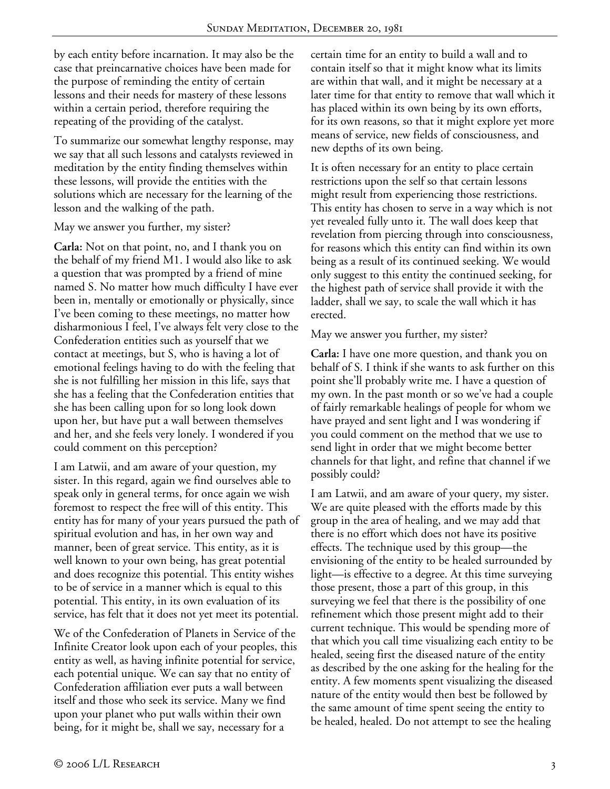by each entity before incarnation. It may also be the case that preincarnative choices have been made for the purpose of reminding the entity of certain lessons and their needs for mastery of these lessons within a certain period, therefore requiring the repeating of the providing of the catalyst.

To summarize our somewhat lengthy response, may we say that all such lessons and catalysts reviewed in meditation by the entity finding themselves within these lessons, will provide the entities with the solutions which are necessary for the learning of the lesson and the walking of the path.

#### May we answer you further, my sister?

**Carla:** Not on that point, no, and I thank you on the behalf of my friend M1. I would also like to ask a question that was prompted by a friend of mine named S. No matter how much difficulty I have ever been in, mentally or emotionally or physically, since I've been coming to these meetings, no matter how disharmonious I feel, I've always felt very close to the Confederation entities such as yourself that we contact at meetings, but S, who is having a lot of emotional feelings having to do with the feeling that she is not fulfilling her mission in this life, says that she has a feeling that the Confederation entities that she has been calling upon for so long look down upon her, but have put a wall between themselves and her, and she feels very lonely. I wondered if you could comment on this perception?

I am Latwii, and am aware of your question, my sister. In this regard, again we find ourselves able to speak only in general terms, for once again we wish foremost to respect the free will of this entity. This entity has for many of your years pursued the path of spiritual evolution and has, in her own way and manner, been of great service. This entity, as it is well known to your own being, has great potential and does recognize this potential. This entity wishes to be of service in a manner which is equal to this potential. This entity, in its own evaluation of its service, has felt that it does not yet meet its potential.

We of the Confederation of Planets in Service of the Infinite Creator look upon each of your peoples, this entity as well, as having infinite potential for service, each potential unique. We can say that no entity of Confederation affiliation ever puts a wall between itself and those who seek its service. Many we find upon your planet who put walls within their own being, for it might be, shall we say, necessary for a

certain time for an entity to build a wall and to contain itself so that it might know what its limits are within that wall, and it might be necessary at a later time for that entity to remove that wall which it has placed within its own being by its own efforts, for its own reasons, so that it might explore yet more means of service, new fields of consciousness, and new depths of its own being.

It is often necessary for an entity to place certain restrictions upon the self so that certain lessons might result from experiencing those restrictions. This entity has chosen to serve in a way which is not yet revealed fully unto it. The wall does keep that revelation from piercing through into consciousness, for reasons which this entity can find within its own being as a result of its continued seeking. We would only suggest to this entity the continued seeking, for the highest path of service shall provide it with the ladder, shall we say, to scale the wall which it has erected.

#### May we answer you further, my sister?

**Carla:** I have one more question, and thank you on behalf of S. I think if she wants to ask further on this point she'll probably write me. I have a question of my own. In the past month or so we've had a couple of fairly remarkable healings of people for whom we have prayed and sent light and I was wondering if you could comment on the method that we use to send light in order that we might become better channels for that light, and refine that channel if we possibly could?

I am Latwii, and am aware of your query, my sister. We are quite pleased with the efforts made by this group in the area of healing, and we may add that there is no effort which does not have its positive effects. The technique used by this group—the envisioning of the entity to be healed surrounded by light—is effective to a degree. At this time surveying those present, those a part of this group, in this surveying we feel that there is the possibility of one refinement which those present might add to their current technique. This would be spending more of that which you call time visualizing each entity to be healed, seeing first the diseased nature of the entity as described by the one asking for the healing for the entity. A few moments spent visualizing the diseased nature of the entity would then best be followed by the same amount of time spent seeing the entity to be healed, healed. Do not attempt to see the healing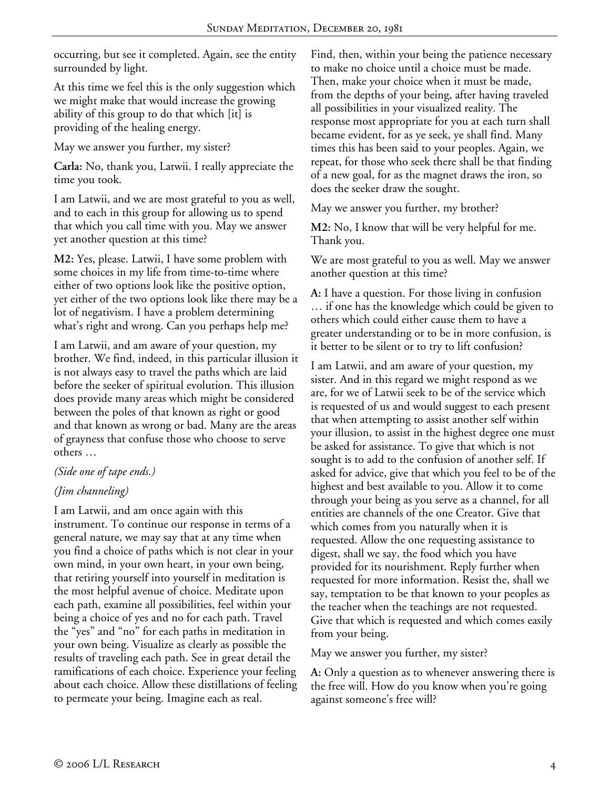occurring, but see it completed. Again, see the entity surrounded by light.

At this time we feel this is the only suggestion which we might make that would increase the growing ability of this group to do that which [it] is providing of the healing energy.

May we answer you further, my sister?

**Carla:** No, thank you, Latwii. I really appreciate the time you took.

I am Latwii, and we are most grateful to you as well, and to each in this group for allowing us to spend that which you call time with you. May we answer yet another question at this time?

**M2:** Yes, please. Latwii, I have some problem with some choices in my life from time-to-time where either of two options look like the positive option, yet either of the two options look like there may be a lot of negativism. I have a problem determining what's right and wrong. Can you perhaps help me?

I am Latwii, and am aware of your question, my brother. We find, indeed, in this particular illusion it is not always easy to travel the paths which are laid before the seeker of spiritual evolution. This illusion does provide many areas which might be considered between the poles of that known as right or good and that known as wrong or bad. Many are the areas of grayness that confuse those who choose to serve others …

#### *(Side one of tape ends.)*

# *(Jim channeling)*

I am Latwii, and am once again with this instrument. To continue our response in terms of a general nature, we may say that at any time when you find a choice of paths which is not clear in your own mind, in your own heart, in your own being, that retiring yourself into yourself in meditation is the most helpful avenue of choice. Meditate upon each path, examine all possibilities, feel within your being a choice of yes and no for each path. Travel the "yes" and "no" for each paths in meditation in your own being. Visualize as clearly as possible the results of traveling each path. See in great detail the ramifications of each choice. Experience your feeling about each choice. Allow these distillations of feeling to permeate your being. Imagine each as real.

Find, then, within your being the patience necessary to make no choice until a choice must be made. Then, make your choice when it must be made, from the depths of your being, after having traveled all possibilities in your visualized reality. The response most appropriate for you at each turn shall became evident, for as ye seek, ye shall find. Many times this has been said to your peoples. Again, we repeat, for those who seek there shall be that finding of a new goal, for as the magnet draws the iron, so does the seeker draw the sought.

May we answer you further, my brother?

**M2:** No, I know that will be very helpful for me. Thank you.

We are most grateful to you as well. May we answer another question at this time?

**A:** I have a question. For those living in confusion … if one has the knowledge which could be given to others which could either cause them to have a greater understanding or to be in more confusion, is it better to be silent or to try to lift confusion?

I am Latwii, and am aware of your question, my sister. And in this regard we might respond as we are, for we of Latwii seek to be of the service which is requested of us and would suggest to each present that when attempting to assist another self within your illusion, to assist in the highest degree one must be asked for assistance. To give that which is not sought is to add to the confusion of another self. If asked for advice, give that which you feel to be of the highest and best available to you. Allow it to come through your being as you serve as a channel, for all entities are channels of the one Creator. Give that which comes from you naturally when it is requested. Allow the one requesting assistance to digest, shall we say, the food which you have provided for its nourishment. Reply further when requested for more information. Resist the, shall we say, temptation to be that known to your peoples as the teacher when the teachings are not requested. Give that which is requested and which comes easily from your being.

May we answer you further, my sister?

**A:** Only a question as to whenever answering there is the free will. How do you know when you're going against someone's free will?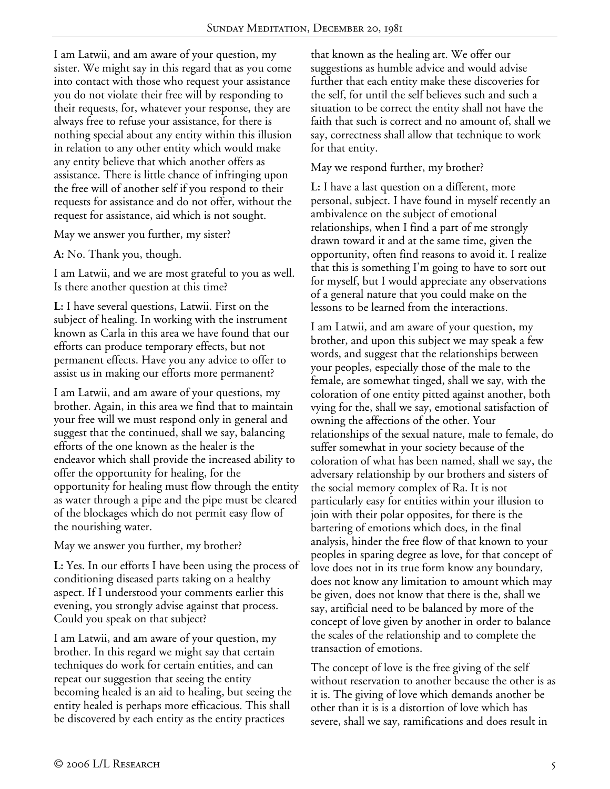I am Latwii, and am aware of your question, my sister. We might say in this regard that as you come into contact with those who request your assistance you do not violate their free will by responding to their requests, for, whatever your response, they are always free to refuse your assistance, for there is nothing special about any entity within this illusion in relation to any other entity which would make any entity believe that which another offers as assistance. There is little chance of infringing upon the free will of another self if you respond to their requests for assistance and do not offer, without the request for assistance, aid which is not sought.

May we answer you further, my sister?

**A:** No. Thank you, though.

I am Latwii, and we are most grateful to you as well. Is there another question at this time?

**L:** I have several questions, Latwii. First on the subject of healing. In working with the instrument known as Carla in this area we have found that our efforts can produce temporary effects, but not permanent effects. Have you any advice to offer to assist us in making our efforts more permanent?

I am Latwii, and am aware of your questions, my brother. Again, in this area we find that to maintain your free will we must respond only in general and suggest that the continued, shall we say, balancing efforts of the one known as the healer is the endeavor which shall provide the increased ability to offer the opportunity for healing, for the opportunity for healing must flow through the entity as water through a pipe and the pipe must be cleared of the blockages which do not permit easy flow of the nourishing water.

May we answer you further, my brother?

**L:** Yes. In our efforts I have been using the process of conditioning diseased parts taking on a healthy aspect. If I understood your comments earlier this evening, you strongly advise against that process. Could you speak on that subject?

I am Latwii, and am aware of your question, my brother. In this regard we might say that certain techniques do work for certain entities, and can repeat our suggestion that seeing the entity becoming healed is an aid to healing, but seeing the entity healed is perhaps more efficacious. This shall be discovered by each entity as the entity practices

that known as the healing art. We offer our suggestions as humble advice and would advise further that each entity make these discoveries for the self, for until the self believes such and such a situation to be correct the entity shall not have the faith that such is correct and no amount of, shall we say, correctness shall allow that technique to work for that entity.

#### May we respond further, my brother?

**L:** I have a last question on a different, more personal, subject. I have found in myself recently an ambivalence on the subject of emotional relationships, when I find a part of me strongly drawn toward it and at the same time, given the opportunity, often find reasons to avoid it. I realize that this is something I'm going to have to sort out for myself, but I would appreciate any observations of a general nature that you could make on the lessons to be learned from the interactions.

I am Latwii, and am aware of your question, my brother, and upon this subject we may speak a few words, and suggest that the relationships between your peoples, especially those of the male to the female, are somewhat tinged, shall we say, with the coloration of one entity pitted against another, both vying for the, shall we say, emotional satisfaction of owning the affections of the other. Your relationships of the sexual nature, male to female, do suffer somewhat in your society because of the coloration of what has been named, shall we say, the adversary relationship by our brothers and sisters of the social memory complex of Ra. It is not particularly easy for entities within your illusion to join with their polar opposites, for there is the bartering of emotions which does, in the final analysis, hinder the free flow of that known to your peoples in sparing degree as love, for that concept of love does not in its true form know any boundary, does not know any limitation to amount which may be given, does not know that there is the, shall we say, artificial need to be balanced by more of the concept of love given by another in order to balance the scales of the relationship and to complete the transaction of emotions.

The concept of love is the free giving of the self without reservation to another because the other is as it is. The giving of love which demands another be other than it is is a distortion of love which has severe, shall we say, ramifications and does result in